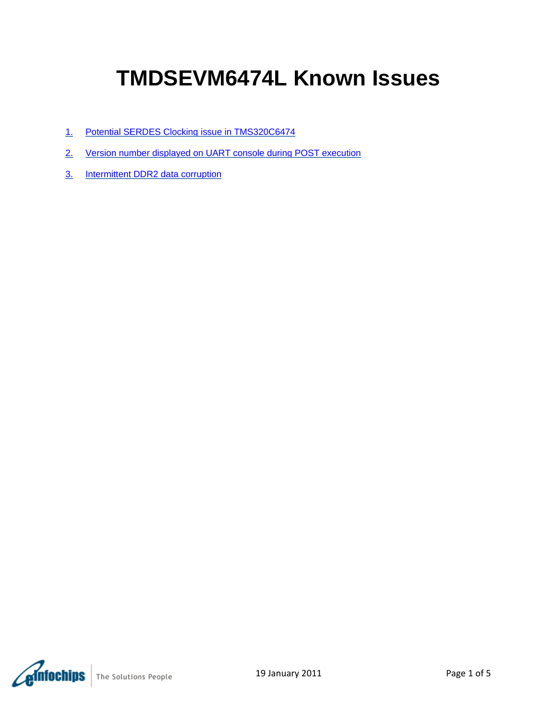# **TMDSEVM6474L Known Issues**

- 1. [Potential SERDES Clocking issue in TMS320C6474](#page-1-0)
- 2. [Version number displayed on UART console during POST execution](#page-3-0)
- 3. [Intermittent DDR2 data corruption](#page-4-0)

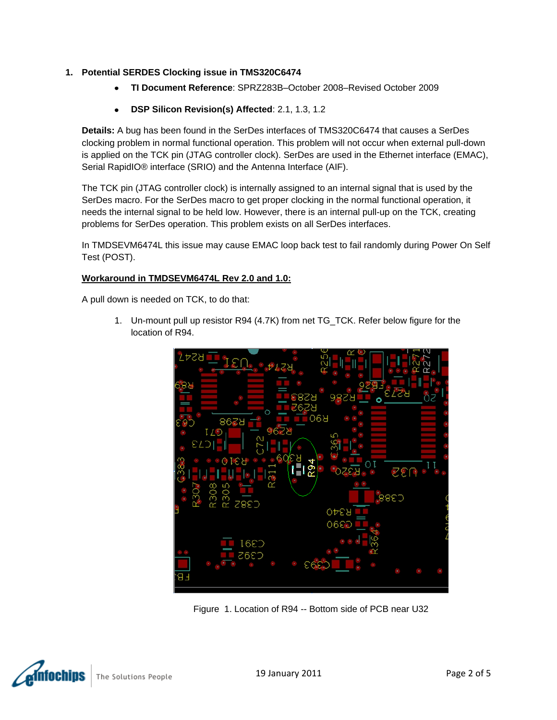## <span id="page-1-0"></span>**1. Potential SERDES Clocking issue in TMS320C6474**

- **TI Document Reference**: SPRZ283B–October 2008–Revised October 2009
- **DSP Silicon Revision(s) Affected**: 2.1, 1.3, 1.2

**Details:** A bug has been found in the SerDes interfaces of TMS320C6474 that causes a SerDes clocking problem in normal functional operation. This problem will not occur when external pull-down is applied on the TCK pin (JTAG controller clock). SerDes are used in the Ethernet interface (EMAC), Serial RapidIO® interface (SRIO) and the Antenna Interface (AIF).

The TCK pin (JTAG controller clock) is internally assigned to an internal signal that is used by the SerDes macro. For the SerDes macro to get proper clocking in the normal functional operation, it needs the internal signal to be held low. However, there is an internal pull-up on the TCK, creating problems for SerDes operation. This problem exists on all SerDes interfaces.

In TMDSEVM6474L this issue may cause EMAC loop back test to fail randomly during Power On Self Test (POST).

## **Workaround in TMDSEVM6474L Rev 2.0 and 1.0:**

A pull down is needed on TCK, to do that:

1. Un-mount pull up resistor R94 (4.7K) from net TG\_TCK. Refer below figure for the location of R94.



Figure 1. Location of R94 -- Bottom side of PCB near U32



The Solutions People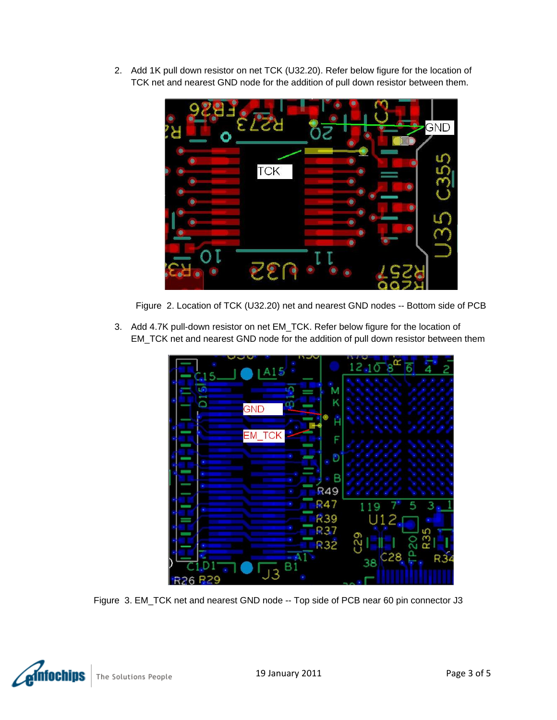2. Add 1K pull down resistor on net TCK (U32.20). Refer below figure for the location of TCK net and nearest GND node for the addition of pull down resistor between them.



Figure 2. Location of TCK (U32.20) net and nearest GND nodes -- Bottom side of PCB

3. Add 4.7K pull-down resistor on net EM\_TCK. Refer below figure for the location of EM\_TCK net and nearest GND node for the addition of pull down resistor between them



Figure 3. EM\_TCK net and nearest GND node -- Top side of PCB near 60 pin connector J3

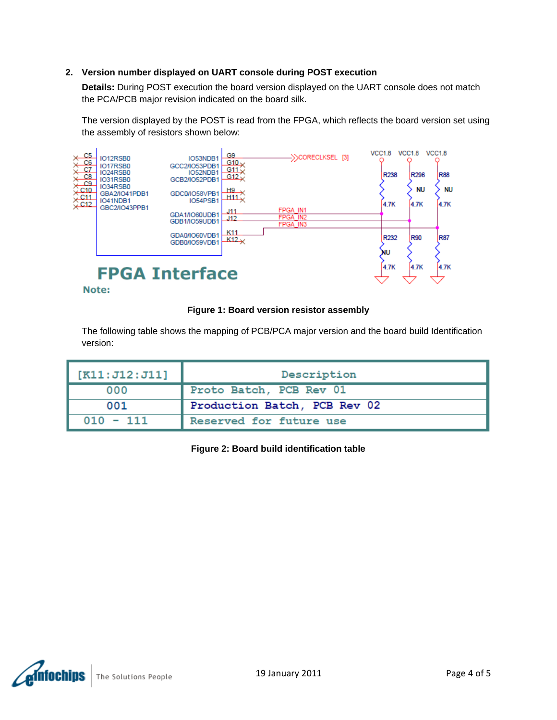## <span id="page-3-0"></span>**2. Version number displayed on UART console during POST execution**

**Details:** During POST execution the board version displayed on the UART console does not match the PCA/PCB major revision indicated on the board silk.

The version displayed by the POST is read from the FPGA, which reflects the board version set using the assembly of resistors shown below:



Note:

### **Figure 1: Board version resistor assembly**

The following table shows the mapping of PCB/PCA major version and the board build Identification version:

| [K11: J12: J11] | Description                  |
|-----------------|------------------------------|
| 000             | Proto Batch, PCB Rev 01      |
| 001             | Production Batch, PCB Rev 02 |
| $010 - 111$     | Reserved for future use      |

**Figure 2: Board build identification table**